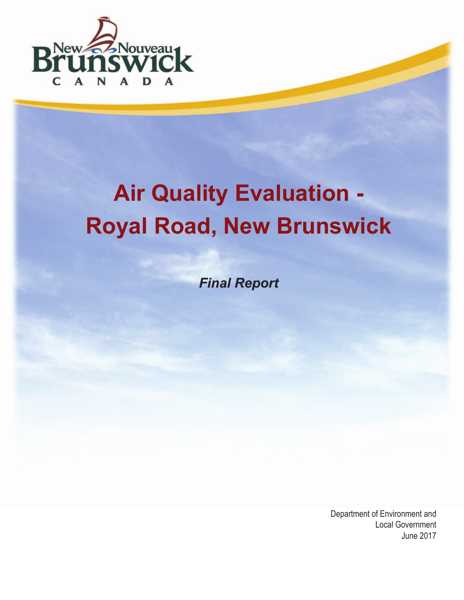

# **Air Quality Evaluation - Royal Road, New Brunswick**

*Final Report*

Department of Environment and Local Government June 2017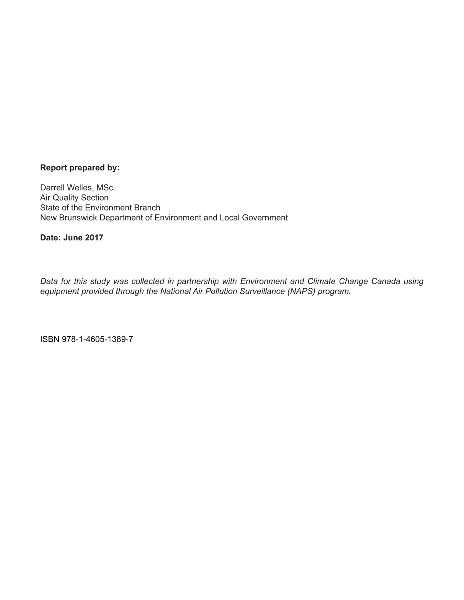#### **Report prepared by:**

Darrell Welles, MSc. Air Quality Section State of the Environment Branch New Brunswick Department of Environment and Local Government

**Date: June 2017**

*Data for this study was collected in partnership with Environment and Climate Change Canada using equipment provided through the National Air Pollution Surveillance (NAPS) program.*

ISBN 978-1-4605-1389-7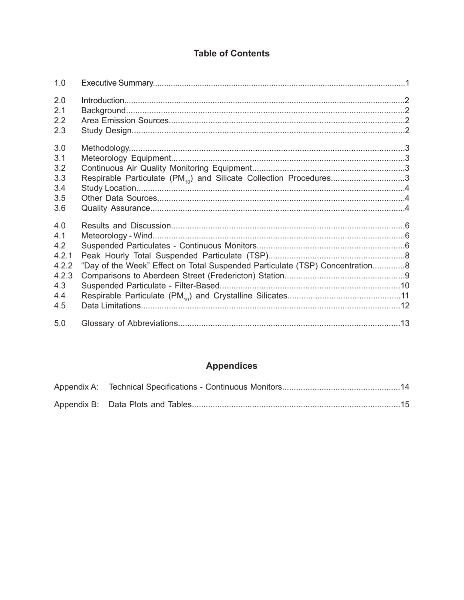## **Table of Contents**

| 1.0                                                               |                                                                                |  |
|-------------------------------------------------------------------|--------------------------------------------------------------------------------|--|
| 2.0<br>2.1<br>2.2<br>2.3                                          |                                                                                |  |
| 3.0<br>3.1<br>3.2<br>3.3<br>3.4<br>3.5<br>3.6                     | Respirable Particulate (PM <sub>10</sub> ) and Silicate Collection Procedures3 |  |
| 4.0<br>4.1<br>4.2<br>4.2.1<br>4.2.2<br>4.2.3<br>4.3<br>4.4<br>4.5 | "Day of the Week" Effect on Total Suspended Particulate (TSP) Concentration8   |  |
| 5.0                                                               |                                                                                |  |

# **Appendices**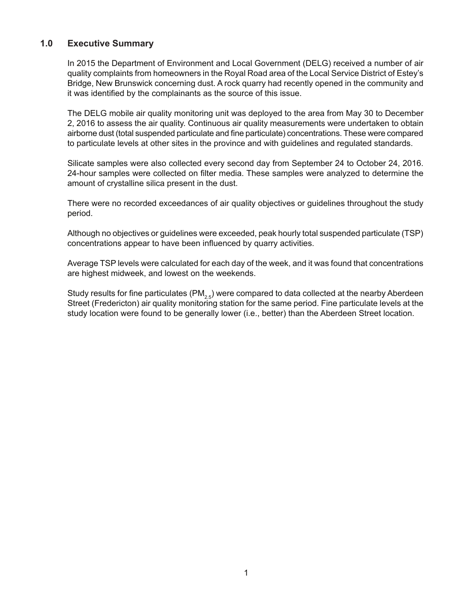## **1.0 Executive Summary**

In 2015 the Department of Environment and Local Government (DELG) received a number of air quality complaints from homeowners in the Royal Road area of the Local Service District of Estey's Bridge, New Brunswick concerning dust. A rock quarry had recently opened in the community and it was identified by the complainants as the source of this issue.

The DELG mobile air quality monitoring unit was deployed to the area from May 30 to December 2, 2016 to assess the air quality. Continuous air quality measurements were undertaken to obtain airborne dust (total suspended particulate and fine particulate) concentrations. These were compared to particulate levels at other sites in the province and with guidelines and regulated standards.

Silicate samples were also collected every second day from September 24 to October 24, 2016. 24-hour samples were collected on filter media. These samples were analyzed to determine the amount of crystalline silica present in the dust.

There were no recorded exceedances of air quality objectives or guidelines throughout the study period.

Although no objectives or guidelines were exceeded, peak hourly total suspended particulate (TSP) concentrations appear to have been influenced by quarry activities.

Average TSP levels were calculated for each day of the week, and it was found that concentrations are highest midweek, and lowest on the weekends.

Study results for fine particulates (PM<sub>2.5</sub>) were compared to data collected at the nearby Aberdeen Street (Fredericton) air quality monitoring station for the same period. Fine particulate levels at the study location were found to be generally lower (i.e., better) than the Aberdeen Street location.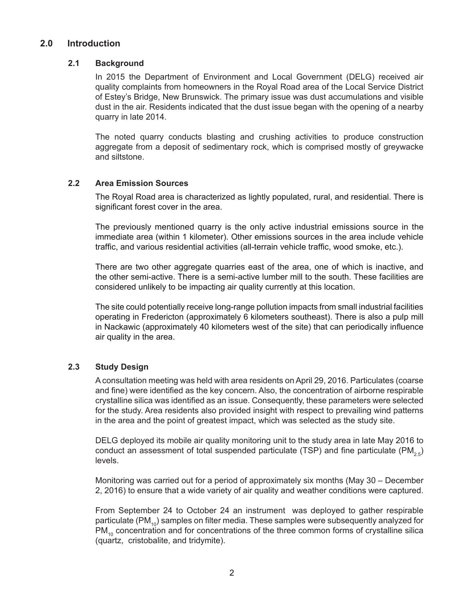## **2.0 Introduction**

#### **2.1 Background**

In 2015 the Department of Environment and Local Government (DELG) received air quality complaints from homeowners in the Royal Road area of the Local Service District of Estey's Bridge, New Brunswick. The primary issue was dust accumulations and visible dust in the air. Residents indicated that the dust issue began with the opening of a nearby quarry in late 2014.

The noted quarry conducts blasting and crushing activities to produce construction aggregate from a deposit of sedimentary rock, which is comprised mostly of greywacke and siltstone.

#### **2.2 Area Emission Sources**

The Royal Road area is characterized as lightly populated, rural, and residential. There is significant forest cover in the area.

The previously mentioned quarry is the only active industrial emissions source in the immediate area (within 1 kilometer). Other emissions sources in the area include vehicle traffic, and various residential activities (all-terrain vehicle traffic, wood smoke, etc.).

There are two other aggregate quarries east of the area, one of which is inactive, and the other semi-active. There is a semi-active lumber mill to the south. These facilities are considered unlikely to be impacting air quality currently at this location.

The site could potentially receive long-range pollution impacts from small industrial facilities operating in Fredericton (approximately 6 kilometers southeast). There is also a pulp mill in Nackawic (approximately 40 kilometers west of the site) that can periodically influence air quality in the area.

#### **2.3 Study Design**

A consultation meeting was held with area residents on April 29, 2016. Particulates (coarse and fine) were identified as the key concern. Also, the concentration of airborne respirable crystalline silica was identified as an issue. Consequently, these parameters were selected for the study. Area residents also provided insight with respect to prevailing wind patterns in the area and the point of greatest impact, which was selected as the study site.

DELG deployed its mobile air quality monitoring unit to the study area in late May 2016 to conduct an assessment of total suspended particulate (TSP) and fine particulate  $(PM_{2.5})$ levels.

Monitoring was carried out for a period of approximately six months (May 30 – December 2, 2016) to ensure that a wide variety of air quality and weather conditions were captured.

From September 24 to October 24 an instrument was deployed to gather respirable particulate (PM $_{10}$ ) samples on filter media. These samples were subsequently analyzed for  $PM_{10}$  concentration and for concentrations of the three common forms of crystalline silica (quartz, cristobalite, and tridymite).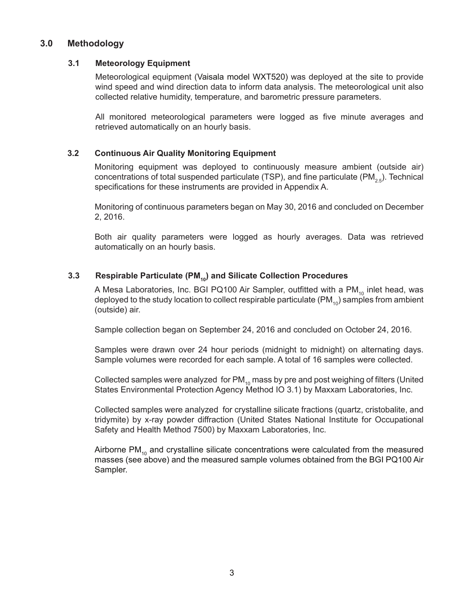## **3.0 Methodology**

#### **3.1 Meteorology Equipment**

Meteorological equipment (Vaisala model WXT520) was deployed at the site to provide wind speed and wind direction data to inform data analysis. The meteorological unit also collected relative humidity, temperature, and barometric pressure parameters.

All monitored meteorological parameters were logged as five minute averages and retrieved automatically on an hourly basis.

#### **3.2 Continuous Air Quality Monitoring Equipment**

Monitoring equipment was deployed to continuously measure ambient (outside air) concentrations of total suspended particulate (TSP), and fine particulate (PM<sub>2.5</sub>). Technical specifications for these instruments are provided in Appendix A.

Monitoring of continuous parameters began on May 30, 2016 and concluded on December 2, 2016.

Both air quality parameters were logged as hourly averages. Data was retrieved automatically on an hourly basis.

#### **3.3** Respirable Particulate (PM<sub>10</sub>) and Silicate Collection Procedures

A Mesa Laboratories, Inc. BGI PQ100 Air Sampler, outfitted with a PM $_{10}$  inlet head, was deployed to the study location to collect respirable particulate  $(PM_{10})$  samples from ambient (outside) air.

Sample collection began on September 24, 2016 and concluded on October 24, 2016.

Samples were drawn over 24 hour periods (midnight to midnight) on alternating days. Sample volumes were recorded for each sample. A total of 16 samples were collected.

Collected samples were analyzed for  $PM_{10}$  mass by pre and post weighing of filters (United States Environmental Protection Agency Method IO 3.1) by Maxxam Laboratories, Inc.

Collected samples were analyzed for crystalline silicate fractions (quartz, cristobalite, and tridymite) by x-ray powder diffraction (United States National Institute for Occupational Safety and Health Method 7500) by Maxxam Laboratories, Inc.

Airborne  $PM_{10}$  and crystalline silicate concentrations were calculated from the measured masses (see above) and the measured sample volumes obtained from the BGI PQ100 Air Sampler.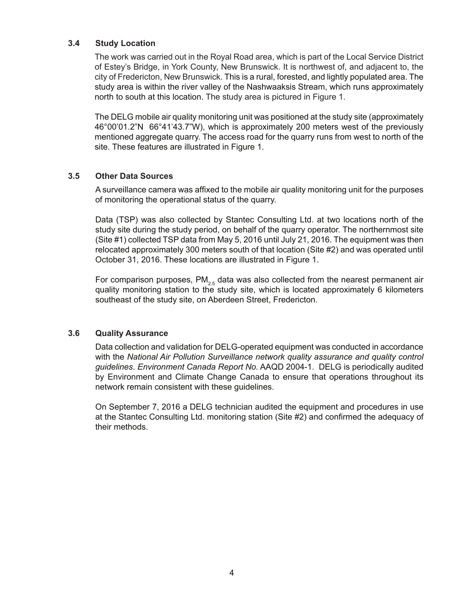#### **3.4 Study Location**

The work was carried out in the Royal Road area, which is part of the Local Service District of Estey's Bridge, in York County, New Brunswick. It is northwest of, and adjacent to, the city of Fredericton, New Brunswick. This is a rural, forested, and lightly populated area. The study area is within the river valley of the Nashwaaksis Stream, which runs approximately north to south at this location. The study area is pictured in Figure 1.

The DELG mobile air quality monitoring unit was positioned at the study site (approximately 46°00'01.2"N 66°41'43.7"W), which is approximately 200 meters west of the previously mentioned aggregate quarry. The access road for the quarry runs from west to north of the site. These features are illustrated in Figure 1.

#### **3.5 Other Data Sources**

A surveillance camera was affixed to the mobile air quality monitoring unit for the purposes of monitoring the operational status of the quarry.

Data (TSP) was also collected by Stantec Consulting Ltd. at two locations north of the study site during the study period, on behalf of the quarry operator. The northernmost site (Site #1) collected TSP data from May 5, 2016 until July 21, 2016. The equipment was then relocated approximately 300 meters south of that location (Site #2) and was operated until October 31, 2016. These locations are illustrated in Figure 1.

For comparison purposes,  $PM_{25}$  data was also collected from the nearest permanent air quality monitoring station to the study site, which is located approximately 6 kilometers southeast of the study site, on Aberdeen Street, Fredericton.

#### **3.6 Quality Assurance**

Data collection and validation for DELG-operated equipment was conducted in accordance with the *National Air Pollution Surveillance network quality assurance and quality control guidelines*. *Environment Canada Report No.* AAQD 2004-1. DELG is periodically audited by Environment and Climate Change Canada to ensure that operations throughout its network remain consistent with these guidelines.

On September 7, 2016 a DELG technician audited the equipment and procedures in use at the Stantec Consulting Ltd. monitoring station (Site #2) and confirmed the adequacy of their methods.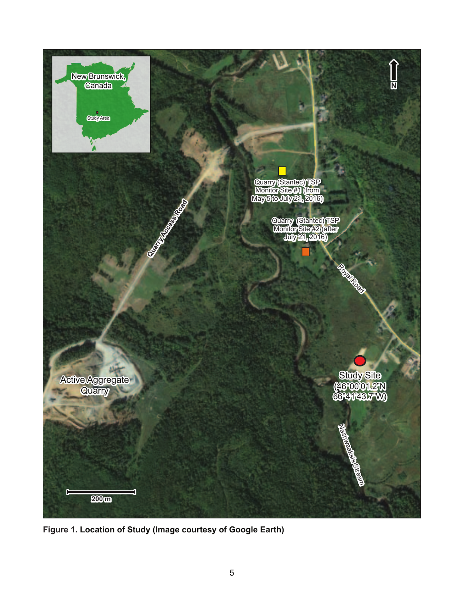

**Figure 1. Location of Study (Image courtesy of Google Earth)**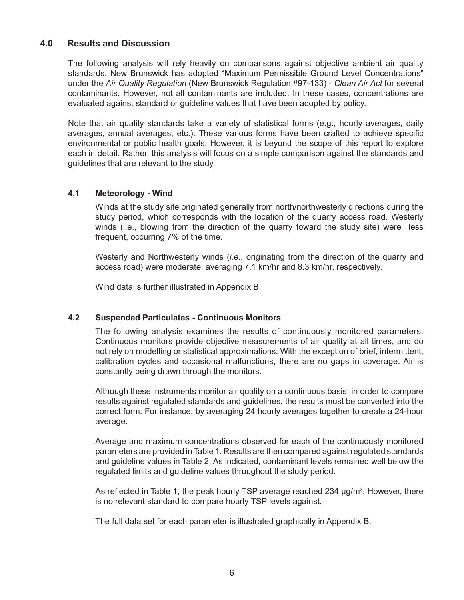## **4.0 Results and Discussion**

The following analysis will rely heavily on comparisons against objective ambient air quality standards. New Brunswick has adopted "Maximum Permissible Ground Level Concentrations" under the *Air Quality Regulation* (New Brunswick Regulation #97-133) - *Clean Air Act* for several contaminants. However, not all contaminants are included. In these cases, concentrations are evaluated against standard or guideline values that have been adopted by policy.

Note that air quality standards take a variety of statistical forms (e.g., hourly averages, daily averages, annual averages, etc.). These various forms have been crafted to achieve specific environmental or public health goals. However, it is beyond the scope of this report to explore each in detail. Rather, this analysis will focus on a simple comparison against the standards and guidelines that are relevant to the study.

#### **4.1 Meteorology - Wind**

Winds at the study site originated generally from north/northwesterly directions during the study period, which corresponds with the location of the quarry access road. Westerly winds (i.e., blowing from the direction of the quarry toward the study site) were less frequent, occurring 7% of the time.

Westerly and Northwesterly winds (*i.e*., originating from the direction of the quarry and access road) were moderate, averaging 7.1 km/hr and 8.3 km/hr, respectively.

Wind data is further illustrated in Appendix B.

#### **4.2 Suspended Particulates - Continuous Monitors**

The following analysis examines the results of continuously monitored parameters. Continuous monitors provide objective measurements of air quality at all times, and do not rely on modelling or statistical approximations. With the exception of brief, intermittent, calibration cycles and occasional malfunctions, there are no gaps in coverage. Air is constantly being drawn through the monitors.

Although these instruments monitor air quality on a continuous basis, in order to compare results against regulated standards and guidelines, the results must be converted into the correct form. For instance, by averaging 24 hourly averages together to create a 24-hour average.

Average and maximum concentrations observed for each of the continuously monitored parameters are provided in Table 1. Results are then compared against regulated standards and guideline values in Table 2. As indicated, contaminant levels remained well below the regulated limits and guideline values throughout the study period.

As reflected in Table 1, the peak hourly TSP average reached 234 µg/m<sup>3</sup>. However, there is no relevant standard to compare hourly TSP levels against.

The full data set for each parameter is illustrated graphically in Appendix B.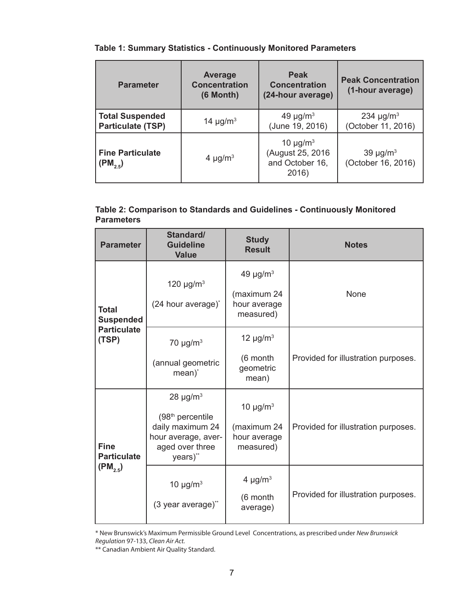## **Table 1: Summary Statistics - Continuously Monitored Parameters**

| <b>Parameter</b>                                   | <b>Average</b><br><b>Concentration</b><br>(6 Month) | <b>Peak</b><br><b>Concentration</b><br>(24-hour average)                   | <b>Peak Concentration</b><br>(1-hour average)    |
|----------------------------------------------------|-----------------------------------------------------|----------------------------------------------------------------------------|--------------------------------------------------|
| <b>Total Suspended</b><br><b>Particulate (TSP)</b> | 14 $\mu$ g/m <sup>3</sup>                           | 49 $\mu$ g/m <sup>3</sup><br>(June 19, 2016)                               | 234 $\mu$ g/m <sup>3</sup><br>(October 11, 2016) |
| <b>Fine Particulate</b><br>$(PM_{2,5})$            | 4 $\mu$ g/m <sup>3</sup>                            | 10 $\mu$ g/m <sup>3</sup><br>(August 25, 2016)<br>and October 16,<br>2016) | 39 $\mu$ g/m <sup>3</sup><br>(October 16, 2016)  |

## **Table 2: Comparison to Standards and Guidelines - Continuously Monitored Parameters**

| <b>Parameter</b>                  | Standard/<br><b>Guideline</b><br><b>Value</b>                                                                           | <b>Study</b><br><b>Result</b>                                         | <b>Notes</b>                        |
|-----------------------------------|-------------------------------------------------------------------------------------------------------------------------|-----------------------------------------------------------------------|-------------------------------------|
| <b>Total</b><br><b>Suspended</b>  | 120 $\mu$ g/m <sup>3</sup><br>(24 hour average)*                                                                        | 49 $\mu$ g/m <sup>3</sup><br>(maximum 24<br>hour average<br>measured) | None                                |
| <b>Particulate</b><br>(TSP)       | 70 $\mu$ g/m <sup>3</sup><br>(annual geometric<br>mean) <sup>*</sup>                                                    | 12 $\mu$ g/m <sup>3</sup><br>(6 month<br>geometric<br>mean)           | Provided for illustration purposes. |
| <b>Fine</b><br><b>Particulate</b> | $28 \mu g/m3$<br>(98 <sup>th</sup> percentile<br>daily maximum 24<br>hour average, aver-<br>aged over three<br>years)** | 10 $\mu$ g/m <sup>3</sup><br>(maximum 24<br>hour average<br>measured) | Provided for illustration purposes. |
| $(PM_{2,5})$                      | 10 $\mu$ g/m <sup>3</sup><br>(3 year average)**                                                                         | 4 $\mu$ g/m <sup>3</sup><br>(6 month<br>average)                      | Provided for illustration purposes. |

<sup>\*</sup> New Brunswick's Maximum Permissible Ground Level Concentrations, as prescribed under *New Brunswick Regulation* 97-133, *Clean Air Act.*

<sup>\*\*</sup> Canadian Ambient Air Quality Standard.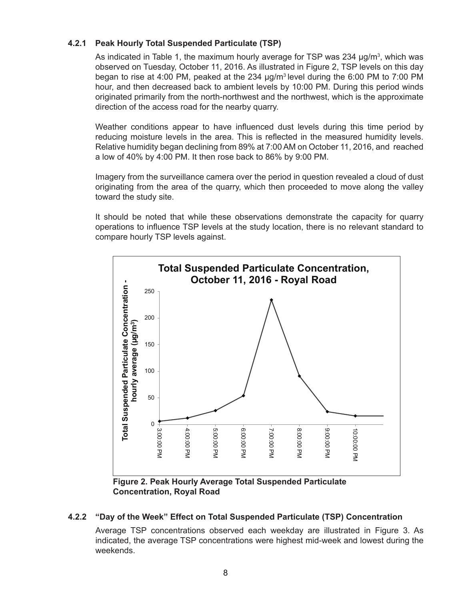#### **4.2.1 Peak Hourly Total Suspended Particulate (TSP)**

As indicated in Table 1, the maximum hourly average for TSP was 234 µg/m<sup>3</sup>, which was observed on Tuesday, October 11, 2016. As illustrated in Figure 2, TSP levels on this day began to rise at 4:00 PM, peaked at the 234 µg/m3 level during the 6:00 PM to 7:00 PM hour, and then decreased back to ambient levels by 10:00 PM. During this period winds originated primarily from the north-northwest and the northwest, which is the approximate direction of the access road for the nearby quarry.

Weather conditions appear to have influenced dust levels during this time period by reducing moisture levels in the area. This is reflected in the measured humidity levels. Relative humidity began declining from 89% at 7:00 AM on October 11, 2016, and reached a low of 40% by 4:00 PM. It then rose back to 86% by 9:00 PM.

Imagery from the surveillance camera over the period in question revealed a cloud of dust originating from the area of the quarry, which then proceeded to move along the valley toward the study site.

It should be noted that while these observations demonstrate the capacity for quarry operations to influence TSP levels at the study location, there is no relevant standard to compare hourly TSP levels against.



**Figure 2. Peak Hourly Average Total Suspended Particulate Concentration, Royal Road**

#### **4.2.2 "Day of the Week" Effect on Total Suspended Particulate (TSP) Concentration**

Average TSP concentrations observed each weekday are illustrated in Figure 3. As indicated, the average TSP concentrations were highest mid-week and lowest during the weekends.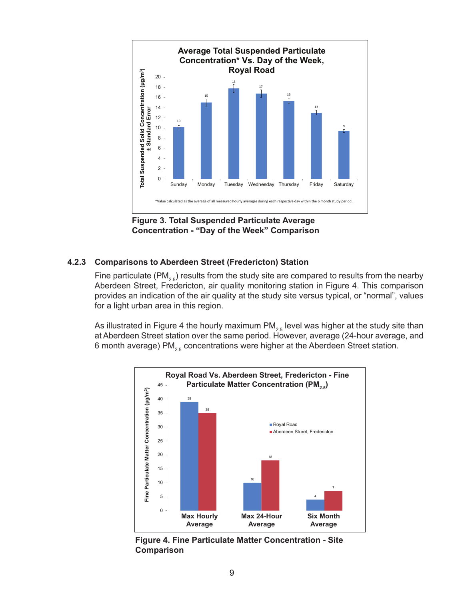

**Figure 3. Total Suspended Particulate Average Concentration - "Day of the Week" Comparison**

#### **4.2.3 Comparisons to Aberdeen Street (Fredericton) Station**

Fine particulate (PM<sub>2.5</sub>) results from the study site are compared to results from the nearby Aberdeen Street, Fredericton, air quality monitoring station in Figure 4. This comparison provides an indication of the air quality at the study site versus typical, or "normal", values for a light urban area in this region.

As illustrated in Figure 4 the hourly maximum  $PM<sub>2.5</sub>$  level was higher at the study site than at Aberdeen Street station over the same period. However, average (24-hour average, and 6 month average) PM<sub>2.5</sub> concentrations were higher at the Aberdeen Street station.



**Figure 4. Fine Particulate Matter Concentration - Site Comparison**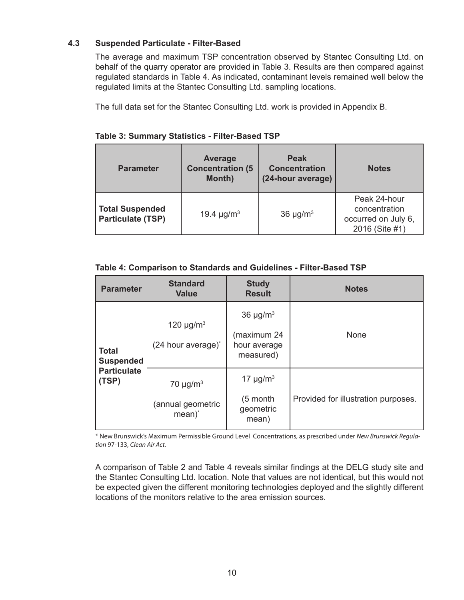#### **4.3 Suspended Particulate - Filter-Based**

The average and maximum TSP concentration observed by Stantec Consulting Ltd. on behalf of the quarry operator are provided in Table 3. Results are then compared against regulated standards in Table 4. As indicated, contaminant levels remained well below the regulated limits at the Stantec Consulting Ltd. sampling locations.

The full data set for the Stantec Consulting Ltd. work is provided in Appendix B.

| <b>Parameter</b>                                   | <b>Average</b><br><b>Concentration (5)</b><br><b>Month)</b> | <b>Peak</b><br><b>Concentration</b><br>(24-hour average) | <b>Notes</b>                                                           |
|----------------------------------------------------|-------------------------------------------------------------|----------------------------------------------------------|------------------------------------------------------------------------|
| <b>Total Suspended</b><br><b>Particulate (TSP)</b> | 19.4 $\mu$ g/m <sup>3</sup>                                 | 36 $\mu$ g/m <sup>3</sup>                                | Peak 24-hour<br>concentration<br>occurred on July 6,<br>2016 (Site #1) |

#### **Table 3: Summary Statistics - Filter-Based TSP**

#### **Table 4: Comparison to Standards and Guidelines - Filter-Based TSP**

| <b>Parameter</b>                 | <b>Standard</b><br><b>Value</b>                                      | <b>Study</b><br><b>Result</b>                                         | <b>Notes</b>                        |
|----------------------------------|----------------------------------------------------------------------|-----------------------------------------------------------------------|-------------------------------------|
| <b>Total</b><br><b>Suspended</b> | 120 $\mu$ g/m <sup>3</sup><br>(24 hour average) <sup>*</sup>         | 36 $\mu$ g/m <sup>3</sup><br>(maximum 24<br>hour average<br>measured) | <b>None</b>                         |
| <b>Particulate</b><br>(TSP)      | 70 $\mu$ g/m <sup>3</sup><br>(annual geometric<br>mean) <sup>*</sup> | 17 $\mu$ g/m <sup>3</sup><br>(5 month<br>geometric<br>mean)           | Provided for illustration purposes. |

\* New Brunswick's Maximum Permissible Ground Level Concentrations, as prescribed under *New Brunswick Regulation* 97-133, *Clean Air Act.*

A comparison of Table 2 and Table 4 reveals similar findings at the DELG study site and the Stantec Consulting Ltd. location. Note that values are not identical, but this would not be expected given the different monitoring technologies deployed and the slightly different locations of the monitors relative to the area emission sources.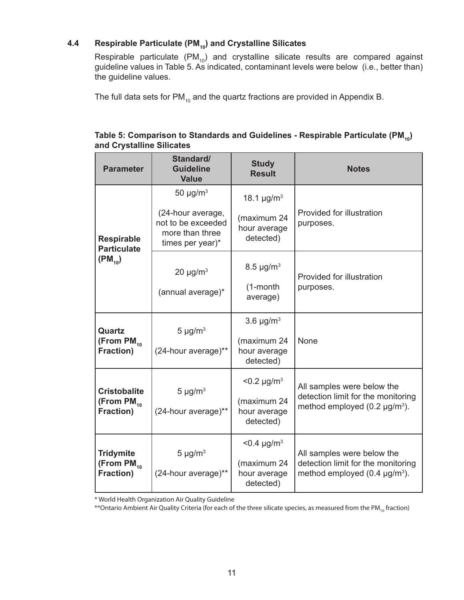## **4.4 Respirable Particulate (PM<sub>10</sub>) and Crystalline Silicates**

Respirable particulate  $(PM_{10})$  and crystalline silicate results are compared against guideline values in Table 5. As indicated, contaminant levels were below (i.e., better than) the guideline values.

The full data sets for  $PM_{10}$  and the quartz fractions are provided in Appendix B.

| <b>Parameter</b>                                           | Standard/<br><b>Guideline</b><br><b>Value</b>                                                               | <b>Study</b><br><b>Result</b>                                           | <b>Notes</b>                                                                                            |
|------------------------------------------------------------|-------------------------------------------------------------------------------------------------------------|-------------------------------------------------------------------------|---------------------------------------------------------------------------------------------------------|
| <b>Respirable</b><br><b>Particulate</b>                    | 50 $\mu$ g/m <sup>3</sup><br>(24-hour average,<br>not to be exceeded<br>more than three<br>times per year)* | 18.1 $\mu$ g/m <sup>3</sup><br>(maximum 24<br>hour average<br>detected) | Provided for illustration<br>purposes.                                                                  |
| $(PM_{10})$                                                | $20 \mu g/m^3$<br>(annual average)*                                                                         | $8.5 \,\mu g/m^3$<br>$(1$ -month<br>average)                            | Provided for illustration<br>purposes.                                                                  |
| Quartz<br>(From $PM_{10}$<br><b>Fraction)</b>              | $5 \mu g/m^3$<br>(24-hour average)**                                                                        | $3.6 \mu g/m3$<br>(maximum 24<br>hour average<br>detected)              | None                                                                                                    |
| <b>Cristobalite</b><br>(From $PM_{10}$<br><b>Fraction)</b> | $5 \mu g/m^3$<br>(24-hour average)**                                                                        | $< 0.2 \mu g/m^3$<br>(maximum 24<br>hour average<br>detected)           | All samples were below the<br>detection limit for the monitoring<br>method employed $(0.2 \mu g/m^3)$ . |
| <b>Tridymite</b><br>(From $PM_{10}$<br><b>Fraction)</b>    | $5 \mu g/m^3$<br>(24-hour average)**                                                                        | $< 0.4 \mu g/m^3$<br>(maximum 24<br>hour average<br>detected)           | All samples were below the<br>detection limit for the monitoring<br>method employed $(0.4 \mu g/m^3)$ . |

## Table 5: Comparison to Standards and Guidelines - Respirable Particulate (PM<sub>10</sub>) **and Crystalline Silicates**

\* World Health Organization Air Quality Guideline

\*\*Ontario Ambient Air Quality Criteria (for each of the three silicate species, as measured from the PM<sub>10</sub> fraction)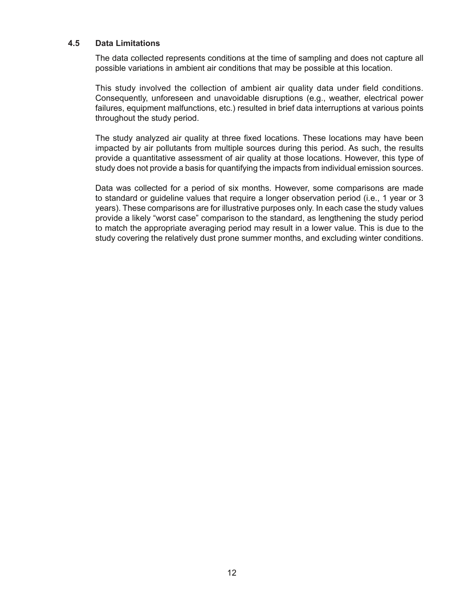#### **4.5 Data Limitations**

The data collected represents conditions at the time of sampling and does not capture all possible variations in ambient air conditions that may be possible at this location.

This study involved the collection of ambient air quality data under field conditions. Consequently, unforeseen and unavoidable disruptions (e.g., weather, electrical power failures, equipment malfunctions, etc.) resulted in brief data interruptions at various points throughout the study period.

The study analyzed air quality at three fixed locations. These locations may have been impacted by air pollutants from multiple sources during this period. As such, the results provide a quantitative assessment of air quality at those locations. However, this type of study does not provide a basis for quantifying the impacts from individual emission sources.

Data was collected for a period of six months. However, some comparisons are made to standard or guideline values that require a longer observation period (i.e., 1 year or 3 years). These comparisons are for illustrative purposes only. In each case the study values provide a likely "worst case" comparison to the standard, as lengthening the study period to match the appropriate averaging period may result in a lower value. This is due to the study covering the relatively dust prone summer months, and excluding winter conditions.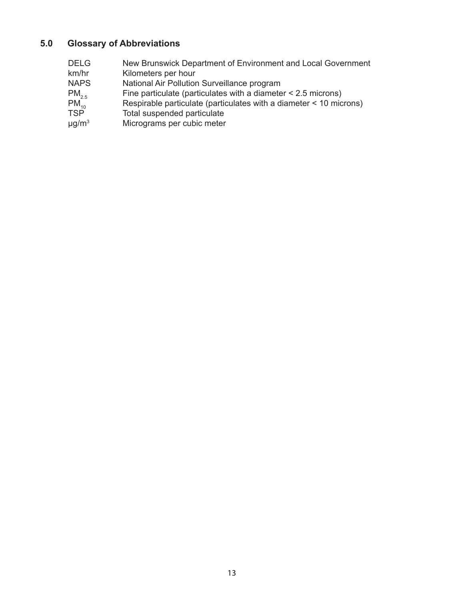## **5.0 Glossary of Abbreviations**

DELG New Brunswick Department of Environment and Local Government km/hr Kilometers per hour<br>NAPS National Air Pollution NAPS National Air Pollution Surveillance program<br>
PM<sub>2.5</sub> Fine particulate (particulates with a diamete  $PM_{2.5}$  Fine particulate (particulates with a diameter < 2.5 microns)<br>PM<sub>10</sub> Respirable particulate (particulates with a diameter < 10 mic<br>TSP Total suspended particulate Respirable particulate (particulates with a diameter  $<$  10 microns) Total suspended particulate  $\mu$ g/m<sup>3</sup> Micrograms per cubic meter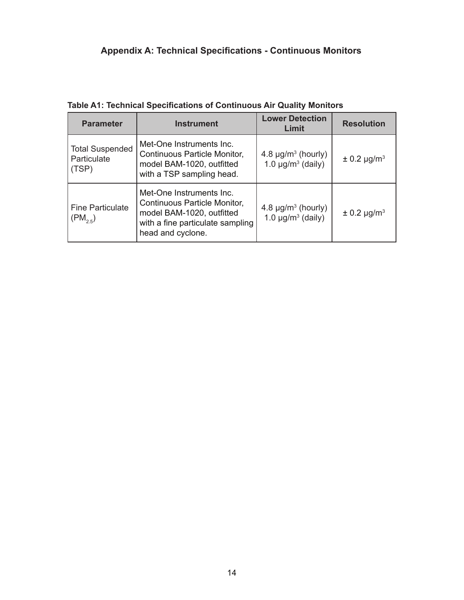# **Appendix A: Technical Specifications - Continuous Monitors**

**Table A1: Technical Specifications of Continuous Air Quality Monitors**

| <b>Parameter</b>                               | <b>Instrument</b>                                                                                                                                     | <b>Lower Detection</b><br>Limit                                           | <b>Resolution</b>           |
|------------------------------------------------|-------------------------------------------------------------------------------------------------------------------------------------------------------|---------------------------------------------------------------------------|-----------------------------|
| <b>Total Suspended</b><br>Particulate<br>(TSP) | Met-One Instruments Inc.<br><b>Continuous Particle Monitor,</b><br>model BAM-1020, outfitted<br>with a TSP sampling head.                             | 4.8 $\mu$ g/m <sup>3</sup> (hourly)<br>1.0 $\mu$ g/m <sup>3</sup> (daily) | $\pm$ 0.2 µg/m <sup>3</sup> |
| <b>Fine Particulate</b><br>$(PM_{2.5})$        | Met-One Instruments Inc.<br><b>Continuous Particle Monitor,</b><br>model BAM-1020, outfitted<br>with a fine particulate sampling<br>head and cyclone. | 4.8 $\mu$ g/m <sup>3</sup> (hourly)<br>1.0 $\mu$ g/m <sup>3</sup> (daily) | $\pm$ 0.2 µg/m <sup>3</sup> |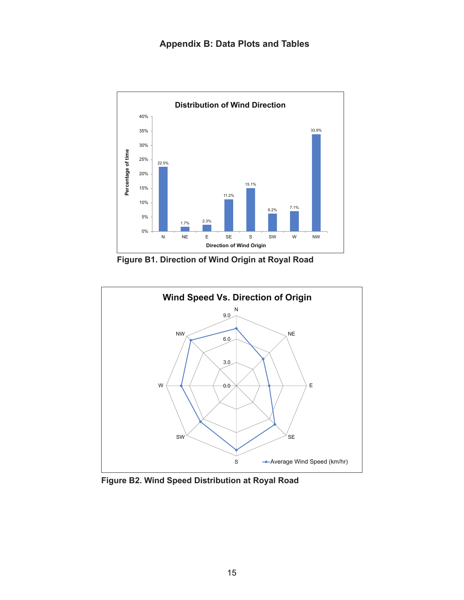

**Figure B1. Direction of Wind Origin at Royal Road**



**Figure B2. Wind Speed Distribution at Royal Road**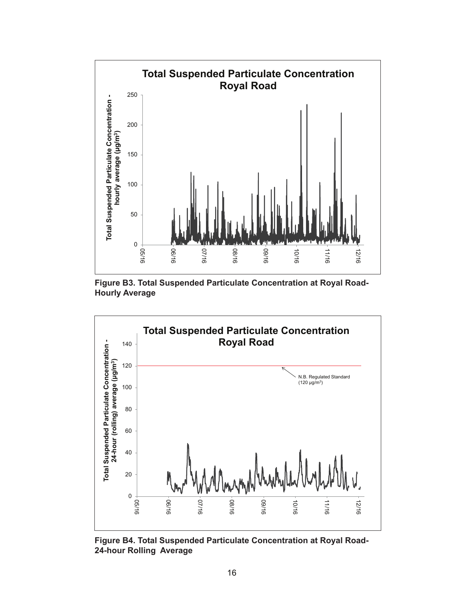





**Figure B4. Total Suspended Particulate Concentration at Royal Road-24-hour Rolling Average**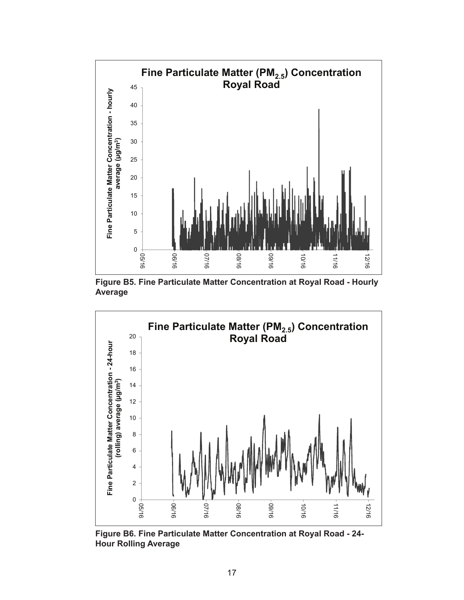

**Figure B5. Fine Particulate Matter Concentration at Royal Road - Hourly Average**



**Figure B6. Fine Particulate Matter Concentration at Royal Road - 24- Hour Rolling Average**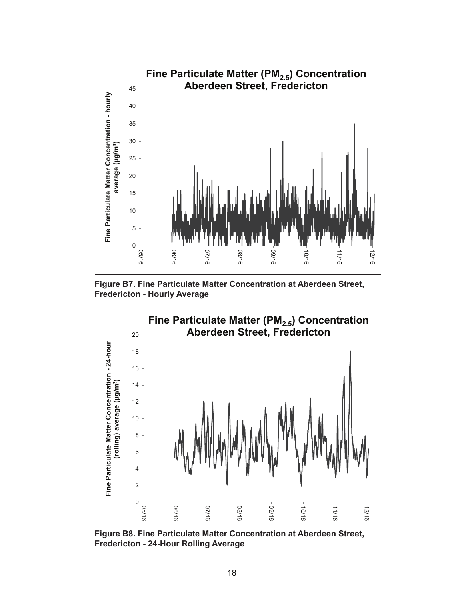

**Figure B7. Fine Particulate Matter Concentration at Aberdeen Street, Fredericton - Hourly Average**



**Figure B8. Fine Particulate Matter Concentration at Aberdeen Street, Fredericton - 24-Hour Rolling Average**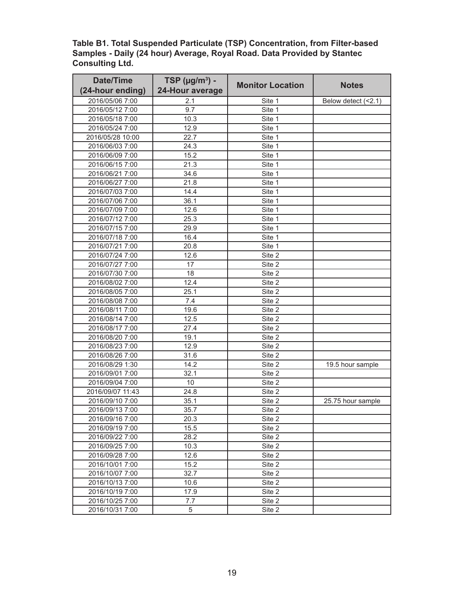**Table B1. Total Suspended Particulate (TSP) Concentration, from Filter-based Samples - Daily (24 hour) Average, Royal Road. Data Provided by Stantec Consulting Ltd.**

| <b>Date/Time</b> | TSP ( $\mu$ g/m <sup>3</sup> ) - | <b>Monitor Location</b> | <b>Notes</b>        |
|------------------|----------------------------------|-------------------------|---------------------|
| (24-hour ending) | 24-Hour average                  |                         |                     |
| 2016/05/06 7:00  | 2.1                              | Site 1                  | Below detect (<2.1) |
| 2016/05/12 7:00  | 9.7                              | Site 1                  |                     |
| 2016/05/18 7:00  | 10.3                             | Site 1                  |                     |
| 2016/05/24 7:00  | 12.9                             | Site 1                  |                     |
| 2016/05/28 10:00 | 22.7                             | Site 1                  |                     |
| 2016/06/03 7:00  | 24.3                             | Site 1                  |                     |
| 2016/06/09 7:00  | 15.2                             | Site 1                  |                     |
| 2016/06/15 7:00  | 21.3                             | Site 1                  |                     |
| 2016/06/21 7:00  | 34.6                             | Site 1                  |                     |
| 2016/06/27 7:00  | 21.8                             | Site 1                  |                     |
| 2016/07/03 7:00  | 14.4                             | Site 1                  |                     |
| 2016/07/06 7:00  | 36.1                             | Site 1                  |                     |
| 2016/07/09 7:00  | 12.6                             | Site 1                  |                     |
| 2016/07/12 7:00  | 25.3                             | Site 1                  |                     |
| 2016/07/15 7:00  | 29.9                             | Site 1                  |                     |
| 2016/07/18 7:00  | 16.4                             | Site 1                  |                     |
| 2016/07/21 7:00  | 20.8                             | Site 1                  |                     |
| 2016/07/24 7:00  | 12.6                             | Site 2                  |                     |
| 2016/07/27 7:00  | 17                               | Site 2                  |                     |
| 2016/07/30 7:00  | 18                               | Site 2                  |                     |
| 2016/08/02 7:00  | 12.4                             | Site 2                  |                     |
| 2016/08/05 7:00  | 25.1                             | Site 2                  |                     |
| 2016/08/08 7:00  | 7.4                              | Site 2                  |                     |
| 2016/08/11 7:00  | 19.6                             | Site 2                  |                     |
| 2016/08/14 7:00  | 12.5                             | Site 2                  |                     |
| 2016/08/17 7:00  | 27.4                             | Site 2                  |                     |
| 2016/08/20 7:00  | 19.1                             | Site 2                  |                     |
| 2016/08/23 7:00  | 12.9                             | Site 2                  |                     |
| 2016/08/26 7:00  | 31.6                             | Site 2                  |                     |
| 2016/08/29 1:30  | 14.2                             | Site 2                  | 19.5 hour sample    |
| 2016/09/01 7:00  | 32.1                             | Site 2                  |                     |
| 2016/09/04 7:00  | 10                               | Site 2                  |                     |
| 2016/09/07 11:43 | 24.8                             | Site 2                  |                     |
| 2016/09/10 7:00  | 35.1                             | Site 2                  | 25.75 hour sample   |
| 2016/09/13 7:00  | 35.7                             | Site 2                  |                     |
| 2016/09/16 7:00  | 20.3                             | Site 2                  |                     |
| 2016/09/19 7:00  | 15.5                             | Site 2                  |                     |
| 2016/09/22 7:00  | 28.2                             | Site 2                  |                     |
| 2016/09/25 7:00  | 10.3                             | Site 2                  |                     |
| 2016/09/28 7:00  | 12.6                             | Site 2                  |                     |
| 2016/10/01 7:00  | 15.2                             | Site 2                  |                     |
| 2016/10/07 7:00  | 32.7                             | Site 2                  |                     |
| 2016/10/13 7:00  | 10.6                             | Site 2                  |                     |
| 2016/10/19 7:00  | 17.9                             | Site 2                  |                     |
| 2016/10/25 7:00  | 7.7                              | Site 2                  |                     |
| 2016/10/31 7:00  | 5                                | Site 2                  |                     |